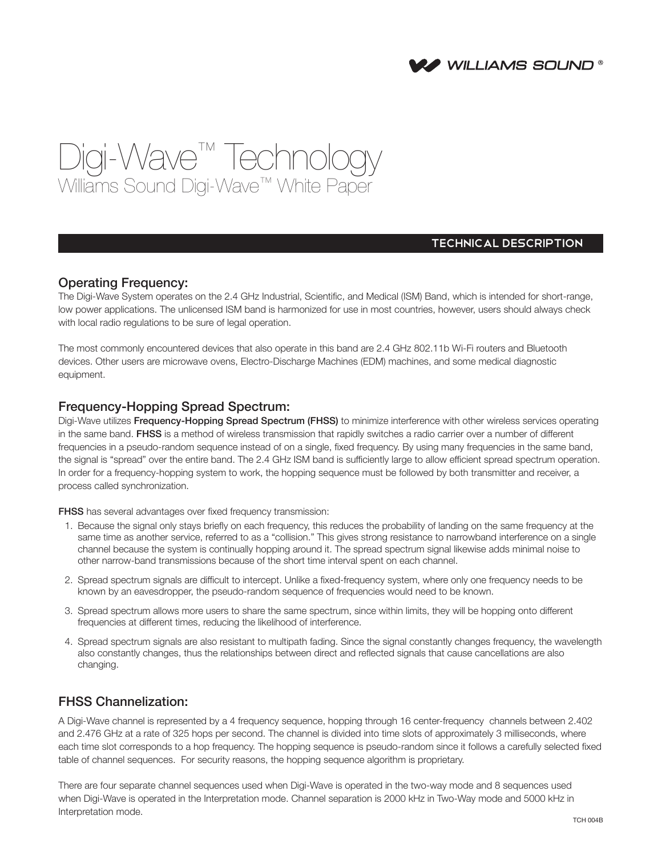

# Digi-Wave™ Technology Williams Sound Digi-Wave™ White Paper

## TECHNICAL DESCRIPTION

## Operating Frequency:

The Digi-Wave System operates on the 2.4 GHz Industrial, Scientific, and Medical (ISM) Band, which is intended for short-range, low power applications. The unlicensed ISM band is harmonized for use in most countries, however, users should always check with local radio regulations to be sure of legal operation.

The most commonly encountered devices that also operate in this band are 2.4 GHz 802.11b Wi-Fi routers and Bluetooth devices. Other users are microwave ovens, Electro-Discharge Machines (EDM) machines, and some medical diagnostic equipment.

#### Frequency-Hopping Spread Spectrum:

Digi-Wave utilizes Frequency-Hopping Spread Spectrum (FHSS) to minimize interference with other wireless services operating in the same band. FHSS is a method of wireless transmission that rapidly switches a radio carrier over a number of different frequencies in a pseudo-random sequence instead of on a single, fixed frequency. By using many frequencies in the same band, the signal is "spread" over the entire band. The 2.4 GHz ISM band is sufficiently large to allow efficient spread spectrum operation. In order for a frequency-hopping system to work, the hopping sequence must be followed by both transmitter and receiver, a process called synchronization.

FHSS has several advantages over fixed frequency transmission:

- 1. Because the signal only stays briefly on each frequency, this reduces the probability of landing on the same frequency at the same time as another service, referred to as a "collision." This gives strong resistance to narrowband interference on a single channel because the system is continually hopping around it. The spread spectrum signal likewise adds minimal noise to other narrow-band transmissions because of the short time interval spent on each channel.
- 2. Spread spectrum signals are difficult to intercept. Unlike a fixed-frequency system, where only one frequency needs to be known by an eavesdropper, the pseudo-random sequence of frequencies would need to be known.
- 3. Spread spectrum allows more users to share the same spectrum, since within limits, they will be hopping onto different frequencies at different times, reducing the likelihood of interference.
- 4. Spread spectrum signals are also resistant to multipath fading. Since the signal constantly changes frequency, the wavelength also constantly changes, thus the relationships between direct and reflected signals that cause cancellations are also changing.

## FHSS Channelization:

A Digi-Wave channel is represented by a 4 frequency sequence, hopping through 16 center-frequency channels between 2.402 and 2.476 GHz at a rate of 325 hops per second. The channel is divided into time slots of approximately 3 milliseconds, where each time slot corresponds to a hop frequency. The hopping sequence is pseudo-random since it follows a carefully selected fixed table of channel sequences. For security reasons, the hopping sequence algorithm is proprietary.

There are four separate channel sequences used when Digi-Wave is operated in the two-way mode and 8 sequences used when Digi-Wave is operated in the Interpretation mode. Channel separation is 2000 kHz in Two-Way mode and 5000 kHz in Interpretation mode.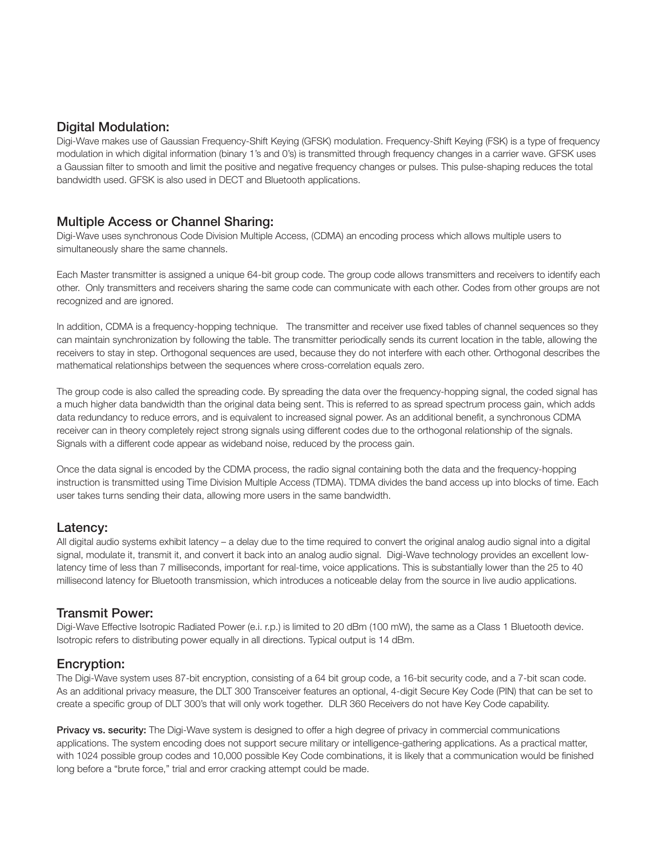#### Digital Modulation:

Digi-Wave makes use of Gaussian Frequency-Shift Keying (GFSK) modulation. Frequency-Shift Keying (FSK) is a type of frequency modulation in which digital information (binary 1's and 0's) is transmitted through frequency changes in a carrier wave. GFSK uses a Gaussian filter to smooth and limit the positive and negative frequency changes or pulses. This pulse-shaping reduces the total bandwidth used. GFSK is also used in DECT and Bluetooth applications.

## Multiple Access or Channel Sharing:

Digi-Wave uses synchronous Code Division Multiple Access, (CDMA) an encoding process which allows multiple users to simultaneously share the same channels.

Each Master transmitter is assigned a unique 64-bit group code. The group code allows transmitters and receivers to identify each other. Only transmitters and receivers sharing the same code can communicate with each other. Codes from other groups are not recognized and are ignored.

In addition, CDMA is a frequency-hopping technique. The transmitter and receiver use fixed tables of channel sequences so they can maintain synchronization by following the table. The transmitter periodically sends its current location in the table, allowing the receivers to stay in step. Orthogonal sequences are used, because they do not interfere with each other. Orthogonal describes the mathematical relationships between the sequences where cross-correlation equals zero.

The group code is also called the spreading code. By spreading the data over the frequency-hopping signal, the coded signal has a much higher data bandwidth than the original data being sent. This is referred to as spread spectrum process gain, which adds data redundancy to reduce errors, and is equivalent to increased signal power. As an additional benefit, a synchronous CDMA receiver can in theory completely reject strong signals using different codes due to the orthogonal relationship of the signals. Signals with a different code appear as wideband noise, reduced by the process gain.

Once the data signal is encoded by the CDMA process, the radio signal containing both the data and the frequency-hopping instruction is transmitted using Time Division Multiple Access (TDMA). TDMA divides the band access up into blocks of time. Each user takes turns sending their data, allowing more users in the same bandwidth.

## Latency:

All digital audio systems exhibit latency – a delay due to the time required to convert the original analog audio signal into a digital signal, modulate it, transmit it, and convert it back into an analog audio signal. Digi-Wave technology provides an excellent lowlatency time of less than 7 milliseconds, important for real-time, voice applications. This is substantially lower than the 25 to 40 millisecond latency for Bluetooth transmission, which introduces a noticeable delay from the source in live audio applications.

## Transmit Power:

Digi-Wave Effective Isotropic Radiated Power (e.i. r.p.) is limited to 20 dBm (100 mW), the same as a Class 1 Bluetooth device. Isotropic refers to distributing power equally in all directions. Typical output is 14 dBm.

## Encryption:

The Digi-Wave system uses 87-bit encryption, consisting of a 64 bit group code, a 16-bit security code, and a 7-bit scan code. As an additional privacy measure, the DLT 300 Transceiver features an optional, 4-digit Secure Key Code (PIN) that can be set to create a specific group of DLT 300's that will only work together. DLR 360 Receivers do not have Key Code capability.

Privacy vs. security: The Digi-Wave system is designed to offer a high degree of privacy in commercial communications applications. The system encoding does not support secure military or intelligence-gathering applications. As a practical matter, with 1024 possible group codes and 10,000 possible Key Code combinations, it is likely that a communication would be finished long before a "brute force," trial and error cracking attempt could be made.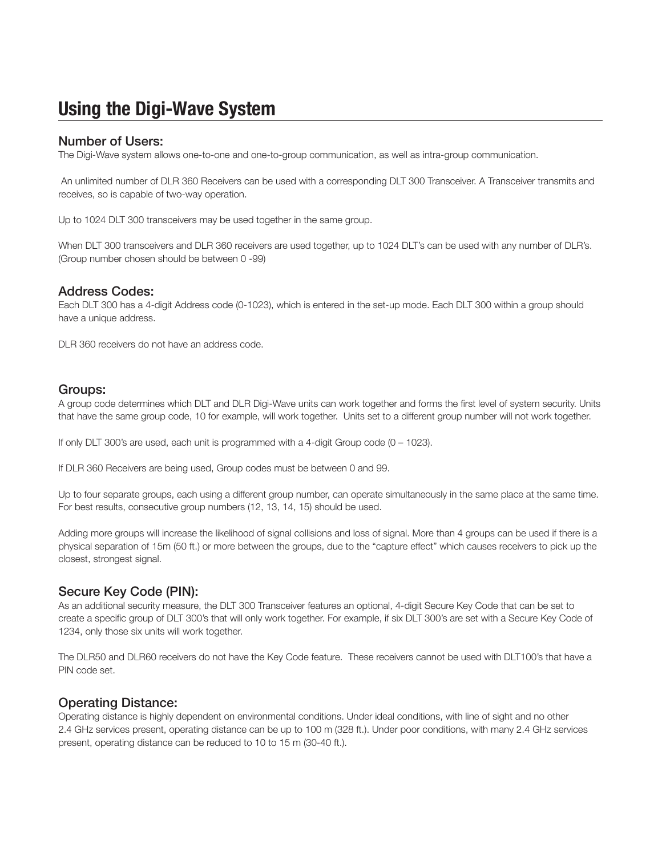## **Using the Digi-Wave System**

#### Number of Users:

The Digi-Wave system allows one-to-one and one-to-group communication, as well as intra-group communication.

 An unlimited number of DLR 360 Receivers can be used with a corresponding DLT 300 Transceiver. A Transceiver transmits and receives, so is capable of two-way operation.

Up to 1024 DLT 300 transceivers may be used together in the same group.

When DLT 300 transceivers and DLR 360 receivers are used together, up to 1024 DLT's can be used with any number of DLR's. (Group number chosen should be between 0 -99)

## Address Codes:

Each DLT 300 has a 4-digit Address code (0-1023), which is entered in the set-up mode. Each DLT 300 within a group should have a unique address.

DLR 360 receivers do not have an address code.

## Groups:

A group code determines which DLT and DLR Digi-Wave units can work together and forms the first level of system security. Units that have the same group code, 10 for example, will work together. Units set to a different group number will not work together.

If only DLT 300's are used, each unit is programmed with a 4-digit Group code (0 – 1023).

If DLR 360 Receivers are being used, Group codes must be between 0 and 99.

Up to four separate groups, each using a different group number, can operate simultaneously in the same place at the same time. For best results, consecutive group numbers (12, 13, 14, 15) should be used.

Adding more groups will increase the likelihood of signal collisions and loss of signal. More than 4 groups can be used if there is a physical separation of 15m (50 ft.) or more between the groups, due to the "capture effect" which causes receivers to pick up the closest, strongest signal.

## Secure Key Code (PIN):

As an additional security measure, the DLT 300 Transceiver features an optional, 4-digit Secure Key Code that can be set to create a specific group of DLT 300's that will only work together. For example, if six DLT 300's are set with a Secure Key Code of 1234, only those six units will work together.

The DLR50 and DLR60 receivers do not have the Key Code feature. These receivers cannot be used with DLT100's that have a PIN code set.

## Operating Distance:

Operating distance is highly dependent on environmental conditions. Under ideal conditions, with line of sight and no other 2.4 GHz services present, operating distance can be up to 100 m (328 ft.). Under poor conditions, with many 2.4 GHz services present, operating distance can be reduced to 10 to 15 m (30-40 ft.).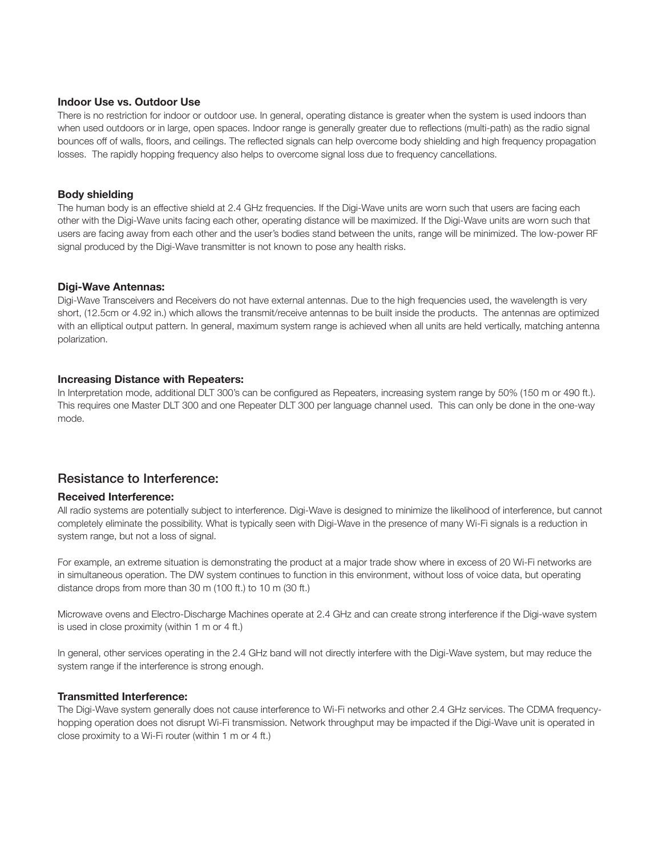#### **Indoor Use vs. Outdoor Use**

There is no restriction for indoor or outdoor use. In general, operating distance is greater when the system is used indoors than when used outdoors or in large, open spaces. Indoor range is generally greater due to reflections (multi-path) as the radio signal bounces off of walls, floors, and ceilings. The reflected signals can help overcome body shielding and high frequency propagation losses. The rapidly hopping frequency also helps to overcome signal loss due to frequency cancellations.

#### **Body shielding**

The human body is an effective shield at 2.4 GHz frequencies. If the Digi-Wave units are worn such that users are facing each other with the Digi-Wave units facing each other, operating distance will be maximized. If the Digi-Wave units are worn such that users are facing away from each other and the user's bodies stand between the units, range will be minimized. The low-power RF signal produced by the Digi-Wave transmitter is not known to pose any health risks.

#### **Digi-Wave Antennas:**

Digi-Wave Transceivers and Receivers do not have external antennas. Due to the high frequencies used, the wavelength is very short, (12.5cm or 4.92 in.) which allows the transmit/receive antennas to be built inside the products. The antennas are optimized with an elliptical output pattern. In general, maximum system range is achieved when all units are held vertically, matching antenna polarization.

#### **Increasing Distance with Repeaters:**

In Interpretation mode, additional DLT 300's can be configured as Repeaters, increasing system range by 50% (150 m or 490 ft.). This requires one Master DLT 300 and one Repeater DLT 300 per language channel used. This can only be done in the one-way mode.

## Resistance to Interference:

#### **Received Interference:**

All radio systems are potentially subject to interference. Digi-Wave is designed to minimize the likelihood of interference, but cannot completely eliminate the possibility. What is typically seen with Digi-Wave in the presence of many Wi-Fi signals is a reduction in system range, but not a loss of signal.

For example, an extreme situation is demonstrating the product at a major trade show where in excess of 20 Wi-Fi networks are in simultaneous operation. The DW system continues to function in this environment, without loss of voice data, but operating distance drops from more than 30 m (100 ft.) to 10 m (30 ft.)

Microwave ovens and Electro-Discharge Machines operate at 2.4 GHz and can create strong interference if the Digi-wave system is used in close proximity (within 1 m or 4 ft.)

In general, other services operating in the 2.4 GHz band will not directly interfere with the Digi-Wave system, but may reduce the system range if the interference is strong enough.

#### **Transmitted Interference:**

The Digi-Wave system generally does not cause interference to Wi-Fi networks and other 2.4 GHz services. The CDMA frequencyhopping operation does not disrupt Wi-Fi transmission. Network throughput may be impacted if the Digi-Wave unit is operated in close proximity to a Wi-Fi router (within 1 m or 4 ft.)